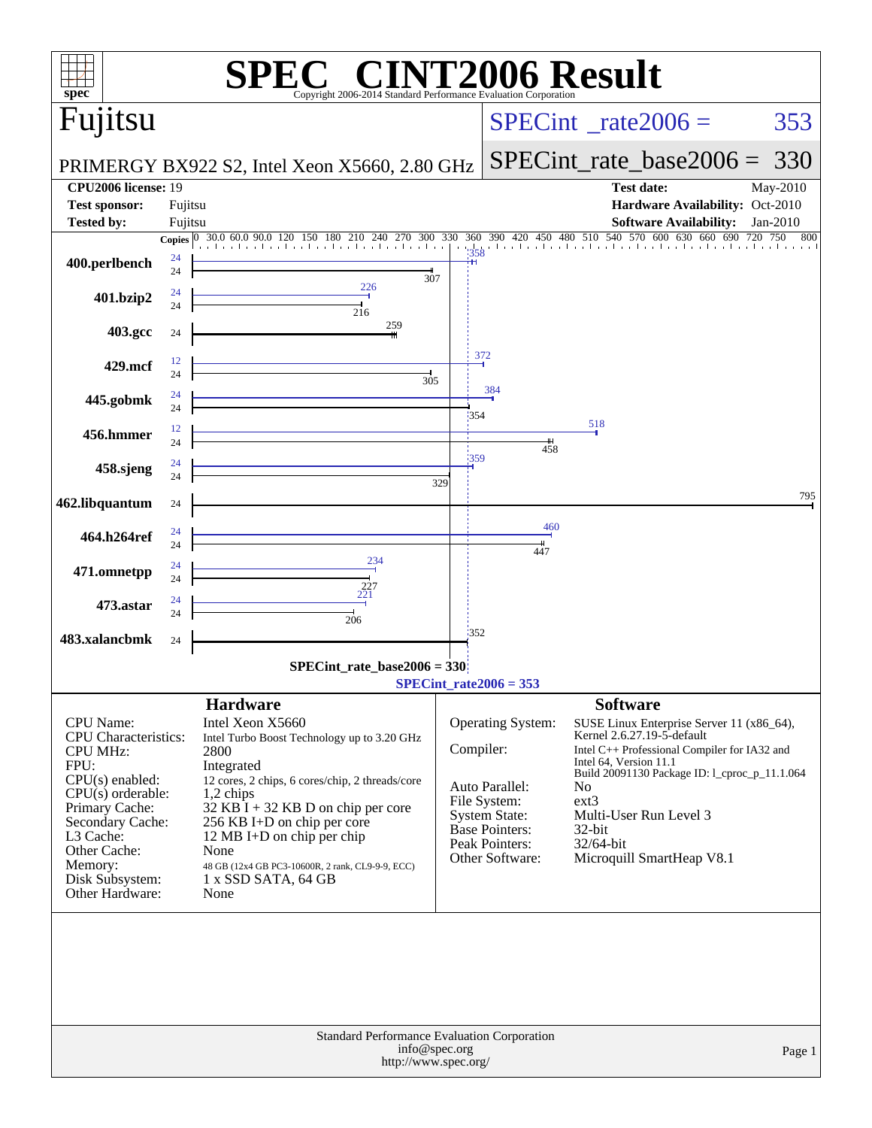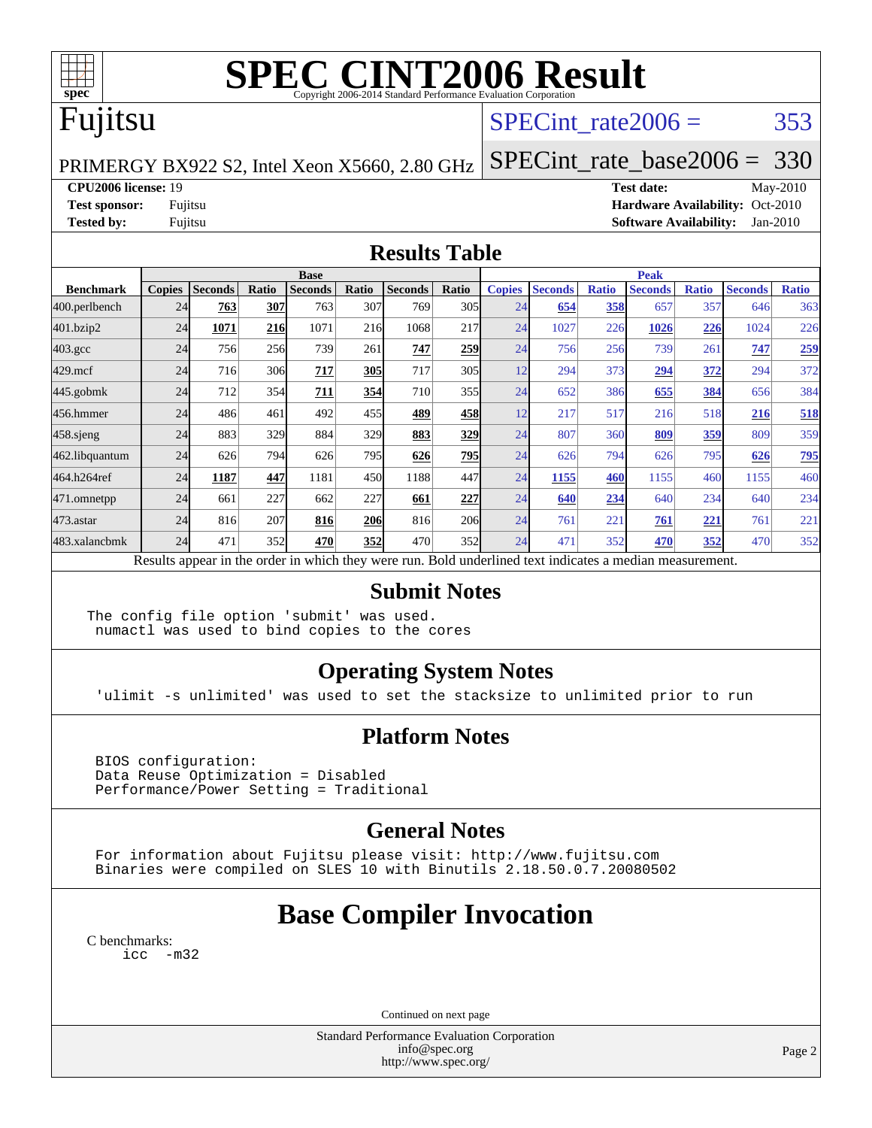

# **[SPEC CINT2006 Result](http://www.spec.org/auto/cpu2006/Docs/result-fields.html#SPECCINT2006Result)**

## Fujitsu

### SPECint rate $2006 = 353$

PRIMERGY BX922 S2, Intel Xeon X5660, 2.80 GHz

[SPECint\\_rate\\_base2006 =](http://www.spec.org/auto/cpu2006/Docs/result-fields.html#SPECintratebase2006) 330

**[CPU2006 license:](http://www.spec.org/auto/cpu2006/Docs/result-fields.html#CPU2006license)** 19 **[Test date:](http://www.spec.org/auto/cpu2006/Docs/result-fields.html#Testdate)** May-2010

**[Test sponsor:](http://www.spec.org/auto/cpu2006/Docs/result-fields.html#Testsponsor)** Fujitsu **[Hardware Availability:](http://www.spec.org/auto/cpu2006/Docs/result-fields.html#HardwareAvailability)** Oct-2010 **[Tested by:](http://www.spec.org/auto/cpu2006/Docs/result-fields.html#Testedby)** Fujitsu **[Software Availability:](http://www.spec.org/auto/cpu2006/Docs/result-fields.html#SoftwareAvailability)** Jan-2010

#### **[Results Table](http://www.spec.org/auto/cpu2006/Docs/result-fields.html#ResultsTable)**

|                  | <b>Base</b>   |                |       |                |            |                |       | <b>Peak</b>   |                |              |                                                                                                          |              |                |              |
|------------------|---------------|----------------|-------|----------------|------------|----------------|-------|---------------|----------------|--------------|----------------------------------------------------------------------------------------------------------|--------------|----------------|--------------|
| <b>Benchmark</b> | <b>Copies</b> | <b>Seconds</b> | Ratio | <b>Seconds</b> | Ratio      | <b>Seconds</b> | Ratio | <b>Copies</b> | <b>Seconds</b> | <b>Ratio</b> | <b>Seconds</b>                                                                                           | <b>Ratio</b> | <b>Seconds</b> | <b>Ratio</b> |
| 400.perlbench    | 24            | 763            | 307   | 763            | 307        | 769            | 305   | 24            | 654            | 358          | 657                                                                                                      | 357          | 646            | 363          |
| 401.bzip2        | 24            | 1071           | 216   | 1071           | 216        | 1068           | 217   | 24            | 1027           | 226          | 1026                                                                                                     | 226          | 1024           | 226          |
| $403.\text{gcc}$ | 24            | 756            | 256   | 739            | 261        | 747            | 259   | 24            | 756            | 256          | 739                                                                                                      | 261          | 747            | 259          |
| $429$ .mcf       | 24            | 716            | 306   | 717            | 305        | 717            | 305   | 12            | 294            | 373          | 294                                                                                                      | 372          | 294            | 372          |
| $445$ .gobmk     | 24            | 712            | 354   | 711            | 354        | 710            | 355   | 24            | 652            | 386          | 655                                                                                                      | 384          | 656            | 384          |
| 456.hmmer        | 24            | 486            | 461   | 492            | 455        | 489            | 458   | 12            | 217            | 517          | 216                                                                                                      | 518          | 216            | 518          |
| $458$ .sjeng     | 24            | 883            | 329   | 884            | 329        | 883            | 329   | 24            | 807            | 360          | 809                                                                                                      | <u>359</u>   | 809            | 359          |
| 462.libquantum   | 24            | 626            | 794   | 626            | 795        | 626            | 795   | 24            | 626            | 794          | 626                                                                                                      | 795          | 626            | 795          |
| 464.h264ref      | 24            | 1187           | 447   | 1181           | 450        | 1188           | 447   | 24            | 1155           | 460          | 1155                                                                                                     | 460          | 1155           | 460          |
| 471.omnetpp      | 24            | 661            | 227   | 662            | 227        | 661            | 227   | 24            | 640            | 234          | 640                                                                                                      | 234          | 640            | 234          |
| 473.astar        | 24            | 816            | 207   | 816            | <b>206</b> | 816            | 206   | 24            | 761            | 221          | 761                                                                                                      | 221          | 761            | 221          |
| 483.xalancbmk    | 24            | 471            | 352   | 470            | 352        | 470            | 352   | 24            | 471            | 352          | 470                                                                                                      | 352          | 470            | 352          |
|                  |               |                |       |                |            |                |       |               |                |              | Results appear in the order in which they were run. Bold underlined text indicates a median measurement. |              |                |              |

#### **[Submit Notes](http://www.spec.org/auto/cpu2006/Docs/result-fields.html#SubmitNotes)**

The config file option 'submit' was used. numactl was used to bind copies to the cores

### **[Operating System Notes](http://www.spec.org/auto/cpu2006/Docs/result-fields.html#OperatingSystemNotes)**

'ulimit -s unlimited' was used to set the stacksize to unlimited prior to run

### **[Platform Notes](http://www.spec.org/auto/cpu2006/Docs/result-fields.html#PlatformNotes)**

 BIOS configuration: Data Reuse Optimization = Disabled Performance/Power Setting = Traditional

### **[General Notes](http://www.spec.org/auto/cpu2006/Docs/result-fields.html#GeneralNotes)**

 For information about Fujitsu please visit: <http://www.fujitsu.com> Binaries were compiled on SLES 10 with Binutils 2.18.50.0.7.20080502

## **[Base Compiler Invocation](http://www.spec.org/auto/cpu2006/Docs/result-fields.html#BaseCompilerInvocation)**

[C benchmarks](http://www.spec.org/auto/cpu2006/Docs/result-fields.html#Cbenchmarks): [icc -m32](http://www.spec.org/cpu2006/results/res2010q3/cpu2006-20100702-12119.flags.html#user_CCbase_intel_icc_32bit_5ff4a39e364c98233615fdd38438c6f2)

Continued on next page

Standard Performance Evaluation Corporation [info@spec.org](mailto:info@spec.org) <http://www.spec.org/>

Page 2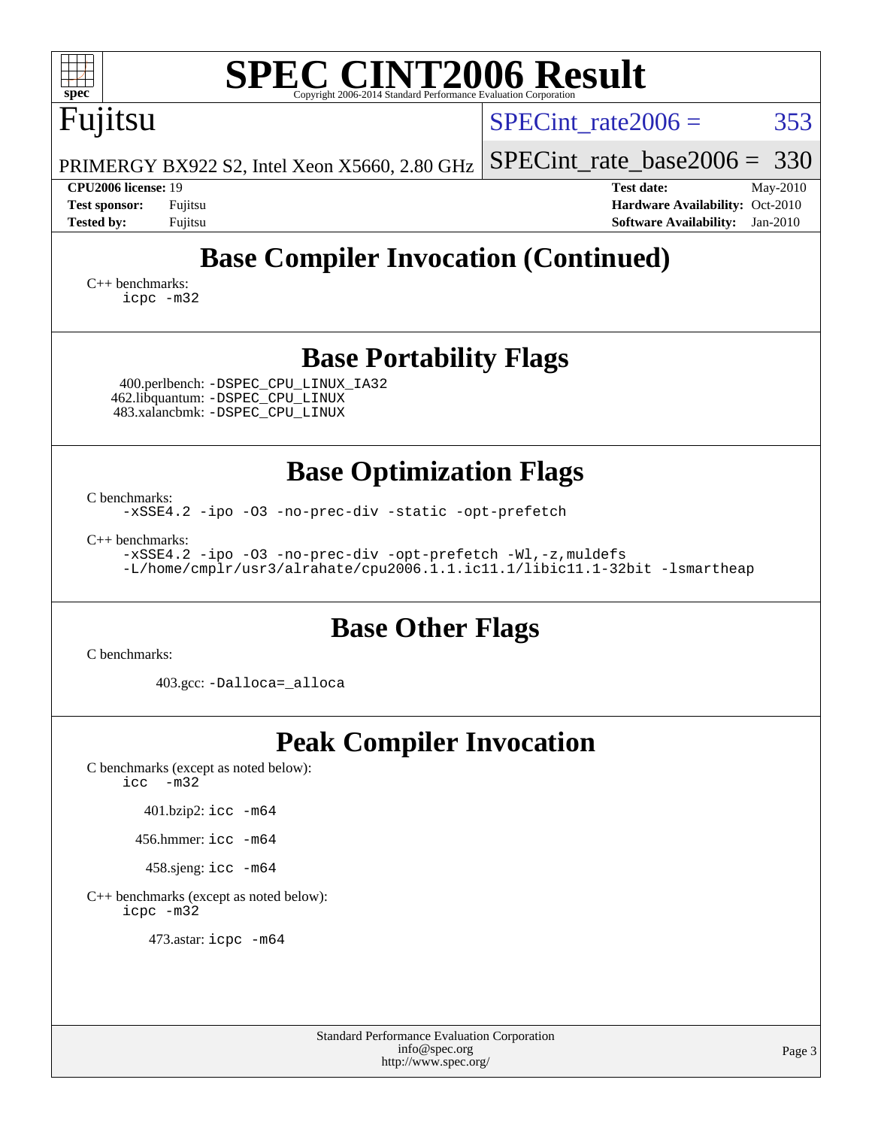|                                          | $spec^*$                                                                                                                                                                                                                                                                      |                                                                                          | <b>SPEC CINT2006 Result</b><br>Copyright 2006-2014 Standard Performance Evaluation Corporation                                              |                                                                                                               |  |  |  |  |
|------------------------------------------|-------------------------------------------------------------------------------------------------------------------------------------------------------------------------------------------------------------------------------------------------------------------------------|------------------------------------------------------------------------------------------|---------------------------------------------------------------------------------------------------------------------------------------------|---------------------------------------------------------------------------------------------------------------|--|--|--|--|
|                                          | Fujitsu                                                                                                                                                                                                                                                                       |                                                                                          |                                                                                                                                             | 353<br>$SPECint rate 2006 =$                                                                                  |  |  |  |  |
|                                          |                                                                                                                                                                                                                                                                               |                                                                                          | PRIMERGY BX922 S2, Intel Xeon X5660, 2.80 GHz                                                                                               | 330<br>$SPECint_rate\_base2006 =$                                                                             |  |  |  |  |
|                                          | <b>CPU2006 license: 19</b><br><b>Test sponsor:</b><br><b>Tested by:</b>                                                                                                                                                                                                       | Fujitsu<br>Fujitsu                                                                       |                                                                                                                                             | <b>Test date:</b><br>May-2010<br>Hardware Availability: Oct-2010<br><b>Software Availability:</b><br>Jan-2010 |  |  |  |  |
|                                          | $C_{++}$ benchmarks:                                                                                                                                                                                                                                                          | icpc -m32                                                                                | <b>Base Compiler Invocation (Continued)</b>                                                                                                 |                                                                                                               |  |  |  |  |
|                                          | <b>Base Portability Flags</b><br>400.perlbench: -DSPEC_CPU_LINUX_IA32<br>462.libquantum: -DSPEC_CPU_LINUX<br>483.xalancbmk: -DSPEC_CPU_LINUX                                                                                                                                  |                                                                                          |                                                                                                                                             |                                                                                                               |  |  |  |  |
|                                          | <b>Base Optimization Flags</b><br>C benchmarks:<br>-xSSE4.2 -ipo -03 -no-prec-div -static -opt-prefetch<br>$C_{++}$ benchmarks:<br>-xSSE4.2 -ipo -03 -no-prec-div -opt-prefetch -Wl,-z, muldefs<br>-L/home/cmplr/usr3/alrahate/cpu2006.1.1.ic11.1/libic11.1-32bit -lsmartheap |                                                                                          |                                                                                                                                             |                                                                                                               |  |  |  |  |
| <b>Base Other Flags</b><br>C benchmarks: |                                                                                                                                                                                                                                                                               |                                                                                          |                                                                                                                                             |                                                                                                               |  |  |  |  |
|                                          | 403.gcc: -Dalloca=_alloca                                                                                                                                                                                                                                                     |                                                                                          |                                                                                                                                             |                                                                                                               |  |  |  |  |
|                                          | icc                                                                                                                                                                                                                                                                           | $-m32$<br>401.bzip2: icc -m64<br>456.hmmer: icc -m64<br>458.sjeng: icc -m64<br>icpc -m32 | <b>Peak Compiler Invocation</b><br>C benchmarks (except as noted below):<br>C++ benchmarks (except as noted below):<br>473.astar: icpc -m64 |                                                                                                               |  |  |  |  |
|                                          |                                                                                                                                                                                                                                                                               |                                                                                          |                                                                                                                                             |                                                                                                               |  |  |  |  |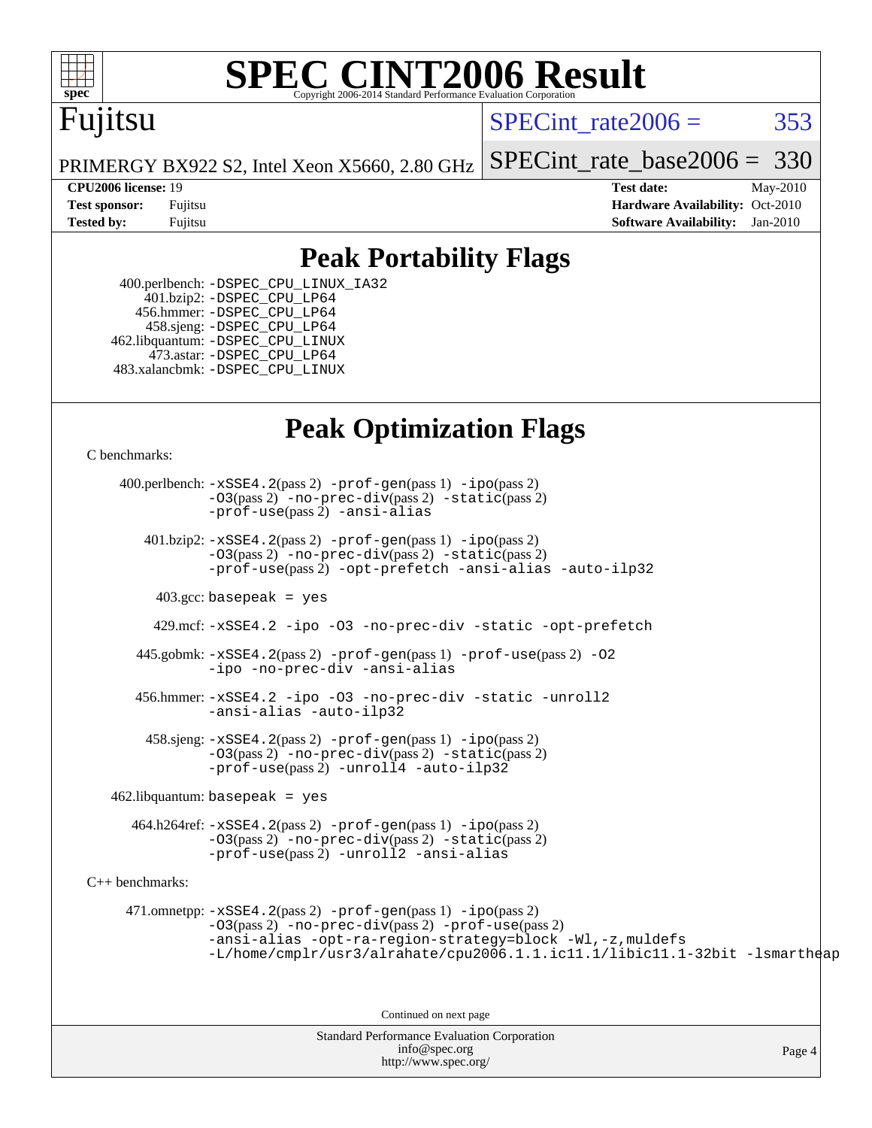

# **[SPEC CINT2006 Result](http://www.spec.org/auto/cpu2006/Docs/result-fields.html#SPECCINT2006Result)**

## Fujitsu

SPECint rate $2006 = 353$ 

[SPECint\\_rate\\_base2006 =](http://www.spec.org/auto/cpu2006/Docs/result-fields.html#SPECintratebase2006) 330

Page 4

PRIMERGY BX922 S2, Intel Xeon X5660, 2.80 GHz

**[CPU2006 license:](http://www.spec.org/auto/cpu2006/Docs/result-fields.html#CPU2006license)** 19 **[Test date:](http://www.spec.org/auto/cpu2006/Docs/result-fields.html#Testdate)** May-2010 **[Test sponsor:](http://www.spec.org/auto/cpu2006/Docs/result-fields.html#Testsponsor)** Fujitsu **[Hardware Availability:](http://www.spec.org/auto/cpu2006/Docs/result-fields.html#HardwareAvailability)** Oct-2010 **[Tested by:](http://www.spec.org/auto/cpu2006/Docs/result-fields.html#Testedby)** Fujitsu **[Software Availability:](http://www.spec.org/auto/cpu2006/Docs/result-fields.html#SoftwareAvailability)** Jan-2010

### **[Peak Portability Flags](http://www.spec.org/auto/cpu2006/Docs/result-fields.html#PeakPortabilityFlags)**

 400.perlbench: [-DSPEC\\_CPU\\_LINUX\\_IA32](http://www.spec.org/cpu2006/results/res2010q3/cpu2006-20100702-12119.flags.html#b400.perlbench_peakCPORTABILITY_DSPEC_CPU_LINUX_IA32) 401.bzip2: [-DSPEC\\_CPU\\_LP64](http://www.spec.org/cpu2006/results/res2010q3/cpu2006-20100702-12119.flags.html#suite_peakCPORTABILITY401_bzip2_DSPEC_CPU_LP64) 456.hmmer: [-DSPEC\\_CPU\\_LP64](http://www.spec.org/cpu2006/results/res2010q3/cpu2006-20100702-12119.flags.html#suite_peakCPORTABILITY456_hmmer_DSPEC_CPU_LP64) 458.sjeng: [-DSPEC\\_CPU\\_LP64](http://www.spec.org/cpu2006/results/res2010q3/cpu2006-20100702-12119.flags.html#suite_peakCPORTABILITY458_sjeng_DSPEC_CPU_LP64) 462.libquantum: [-DSPEC\\_CPU\\_LINUX](http://www.spec.org/cpu2006/results/res2010q3/cpu2006-20100702-12119.flags.html#b462.libquantum_peakCPORTABILITY_DSPEC_CPU_LINUX) 473.astar: [-DSPEC\\_CPU\\_LP64](http://www.spec.org/cpu2006/results/res2010q3/cpu2006-20100702-12119.flags.html#suite_peakCXXPORTABILITY473_astar_DSPEC_CPU_LP64) 483.xalancbmk: [-DSPEC\\_CPU\\_LINUX](http://www.spec.org/cpu2006/results/res2010q3/cpu2006-20100702-12119.flags.html#b483.xalancbmk_peakCXXPORTABILITY_DSPEC_CPU_LINUX)

### **[Peak Optimization Flags](http://www.spec.org/auto/cpu2006/Docs/result-fields.html#PeakOptimizationFlags)**

[C benchmarks](http://www.spec.org/auto/cpu2006/Docs/result-fields.html#Cbenchmarks):

Standard Performance Evaluation Corporation 400.perlbench: [-xSSE4.2](http://www.spec.org/cpu2006/results/res2010q3/cpu2006-20100702-12119.flags.html#user_peakPASS2_CFLAGSPASS2_LDCFLAGS400_perlbench_f-xSSE42_f91528193cf0b216347adb8b939d4107)(pass 2) [-prof-gen](http://www.spec.org/cpu2006/results/res2010q3/cpu2006-20100702-12119.flags.html#user_peakPASS1_CFLAGSPASS1_LDCFLAGS400_perlbench_prof_gen_e43856698f6ca7b7e442dfd80e94a8fc)(pass 1) [-ipo](http://www.spec.org/cpu2006/results/res2010q3/cpu2006-20100702-12119.flags.html#user_peakPASS2_CFLAGSPASS2_LDCFLAGS400_perlbench_f-ipo)(pass 2) [-O3](http://www.spec.org/cpu2006/results/res2010q3/cpu2006-20100702-12119.flags.html#user_peakPASS2_CFLAGSPASS2_LDCFLAGS400_perlbench_f-O3)(pass 2) [-no-prec-div](http://www.spec.org/cpu2006/results/res2010q3/cpu2006-20100702-12119.flags.html#user_peakPASS2_CFLAGSPASS2_LDCFLAGS400_perlbench_f-no-prec-div)(pass 2) [-static](http://www.spec.org/cpu2006/results/res2010q3/cpu2006-20100702-12119.flags.html#user_peakPASS2_CFLAGSPASS2_LDCFLAGS400_perlbench_f-static)(pass 2) [-prof-use](http://www.spec.org/cpu2006/results/res2010q3/cpu2006-20100702-12119.flags.html#user_peakPASS2_CFLAGSPASS2_LDCFLAGS400_perlbench_prof_use_bccf7792157ff70d64e32fe3e1250b55)(pass 2) [-ansi-alias](http://www.spec.org/cpu2006/results/res2010q3/cpu2006-20100702-12119.flags.html#user_peakCOPTIMIZE400_perlbench_f-ansi-alias) 401.bzip2: [-xSSE4.2](http://www.spec.org/cpu2006/results/res2010q3/cpu2006-20100702-12119.flags.html#user_peakPASS2_CFLAGSPASS2_LDCFLAGS401_bzip2_f-xSSE42_f91528193cf0b216347adb8b939d4107)(pass 2) [-prof-gen](http://www.spec.org/cpu2006/results/res2010q3/cpu2006-20100702-12119.flags.html#user_peakPASS1_CFLAGSPASS1_LDCFLAGS401_bzip2_prof_gen_e43856698f6ca7b7e442dfd80e94a8fc)(pass 1) [-ipo](http://www.spec.org/cpu2006/results/res2010q3/cpu2006-20100702-12119.flags.html#user_peakPASS2_CFLAGSPASS2_LDCFLAGS401_bzip2_f-ipo)(pass 2) [-O3](http://www.spec.org/cpu2006/results/res2010q3/cpu2006-20100702-12119.flags.html#user_peakPASS2_CFLAGSPASS2_LDCFLAGS401_bzip2_f-O3)(pass 2) [-no-prec-div](http://www.spec.org/cpu2006/results/res2010q3/cpu2006-20100702-12119.flags.html#user_peakPASS2_CFLAGSPASS2_LDCFLAGS401_bzip2_f-no-prec-div)(pass 2) [-static](http://www.spec.org/cpu2006/results/res2010q3/cpu2006-20100702-12119.flags.html#user_peakPASS2_CFLAGSPASS2_LDCFLAGS401_bzip2_f-static)(pass 2) [-prof-use](http://www.spec.org/cpu2006/results/res2010q3/cpu2006-20100702-12119.flags.html#user_peakPASS2_CFLAGSPASS2_LDCFLAGS401_bzip2_prof_use_bccf7792157ff70d64e32fe3e1250b55)(pass 2) [-opt-prefetch](http://www.spec.org/cpu2006/results/res2010q3/cpu2006-20100702-12119.flags.html#user_peakCOPTIMIZE401_bzip2_f-opt-prefetch) [-ansi-alias](http://www.spec.org/cpu2006/results/res2010q3/cpu2006-20100702-12119.flags.html#user_peakCOPTIMIZE401_bzip2_f-ansi-alias) [-auto-ilp32](http://www.spec.org/cpu2006/results/res2010q3/cpu2006-20100702-12119.flags.html#user_peakCOPTIMIZE401_bzip2_f-auto-ilp32)  $403.\text{gcc: basepeak}$  = yes 429.mcf: [-xSSE4.2](http://www.spec.org/cpu2006/results/res2010q3/cpu2006-20100702-12119.flags.html#user_peakCOPTIMIZE429_mcf_f-xSSE42_f91528193cf0b216347adb8b939d4107) [-ipo](http://www.spec.org/cpu2006/results/res2010q3/cpu2006-20100702-12119.flags.html#user_peakCOPTIMIZE429_mcf_f-ipo) [-O3](http://www.spec.org/cpu2006/results/res2010q3/cpu2006-20100702-12119.flags.html#user_peakCOPTIMIZE429_mcf_f-O3) [-no-prec-div](http://www.spec.org/cpu2006/results/res2010q3/cpu2006-20100702-12119.flags.html#user_peakCOPTIMIZE429_mcf_f-no-prec-div) [-static](http://www.spec.org/cpu2006/results/res2010q3/cpu2006-20100702-12119.flags.html#user_peakCOPTIMIZE429_mcf_f-static) [-opt-prefetch](http://www.spec.org/cpu2006/results/res2010q3/cpu2006-20100702-12119.flags.html#user_peakCOPTIMIZE429_mcf_f-opt-prefetch) 445.gobmk: [-xSSE4.2](http://www.spec.org/cpu2006/results/res2010q3/cpu2006-20100702-12119.flags.html#user_peakPASS2_CFLAGSPASS2_LDCFLAGS445_gobmk_f-xSSE42_f91528193cf0b216347adb8b939d4107)(pass 2) [-prof-gen](http://www.spec.org/cpu2006/results/res2010q3/cpu2006-20100702-12119.flags.html#user_peakPASS1_CFLAGSPASS1_LDCFLAGS445_gobmk_prof_gen_e43856698f6ca7b7e442dfd80e94a8fc)(pass 1) [-prof-use](http://www.spec.org/cpu2006/results/res2010q3/cpu2006-20100702-12119.flags.html#user_peakPASS2_CFLAGSPASS2_LDCFLAGS445_gobmk_prof_use_bccf7792157ff70d64e32fe3e1250b55)(pass 2) [-O2](http://www.spec.org/cpu2006/results/res2010q3/cpu2006-20100702-12119.flags.html#user_peakCOPTIMIZE445_gobmk_f-O2) [-ipo](http://www.spec.org/cpu2006/results/res2010q3/cpu2006-20100702-12119.flags.html#user_peakCOPTIMIZE445_gobmk_f-ipo) [-no-prec-div](http://www.spec.org/cpu2006/results/res2010q3/cpu2006-20100702-12119.flags.html#user_peakCOPTIMIZE445_gobmk_f-no-prec-div) [-ansi-alias](http://www.spec.org/cpu2006/results/res2010q3/cpu2006-20100702-12119.flags.html#user_peakCOPTIMIZE445_gobmk_f-ansi-alias) 456.hmmer: [-xSSE4.2](http://www.spec.org/cpu2006/results/res2010q3/cpu2006-20100702-12119.flags.html#user_peakCOPTIMIZE456_hmmer_f-xSSE42_f91528193cf0b216347adb8b939d4107) [-ipo](http://www.spec.org/cpu2006/results/res2010q3/cpu2006-20100702-12119.flags.html#user_peakCOPTIMIZE456_hmmer_f-ipo) [-O3](http://www.spec.org/cpu2006/results/res2010q3/cpu2006-20100702-12119.flags.html#user_peakCOPTIMIZE456_hmmer_f-O3) [-no-prec-div](http://www.spec.org/cpu2006/results/res2010q3/cpu2006-20100702-12119.flags.html#user_peakCOPTIMIZE456_hmmer_f-no-prec-div) [-static](http://www.spec.org/cpu2006/results/res2010q3/cpu2006-20100702-12119.flags.html#user_peakCOPTIMIZE456_hmmer_f-static) [-unroll2](http://www.spec.org/cpu2006/results/res2010q3/cpu2006-20100702-12119.flags.html#user_peakCOPTIMIZE456_hmmer_f-unroll_784dae83bebfb236979b41d2422d7ec2) [-ansi-alias](http://www.spec.org/cpu2006/results/res2010q3/cpu2006-20100702-12119.flags.html#user_peakCOPTIMIZE456_hmmer_f-ansi-alias) [-auto-ilp32](http://www.spec.org/cpu2006/results/res2010q3/cpu2006-20100702-12119.flags.html#user_peakCOPTIMIZE456_hmmer_f-auto-ilp32)  $458 \text{.}$  sjeng:  $-xSSE4$ .  $2(\text{pass 2})$  -prof-qen(pass 1) [-ipo](http://www.spec.org/cpu2006/results/res2010q3/cpu2006-20100702-12119.flags.html#user_peakPASS2_CFLAGSPASS2_LDCFLAGS458_sjeng_f-ipo)(pass 2) [-O3](http://www.spec.org/cpu2006/results/res2010q3/cpu2006-20100702-12119.flags.html#user_peakPASS2_CFLAGSPASS2_LDCFLAGS458_sjeng_f-O3)(pass 2) [-no-prec-div](http://www.spec.org/cpu2006/results/res2010q3/cpu2006-20100702-12119.flags.html#user_peakPASS2_CFLAGSPASS2_LDCFLAGS458_sjeng_f-no-prec-div)(pass 2) [-static](http://www.spec.org/cpu2006/results/res2010q3/cpu2006-20100702-12119.flags.html#user_peakPASS2_CFLAGSPASS2_LDCFLAGS458_sjeng_f-static)(pass 2) [-prof-use](http://www.spec.org/cpu2006/results/res2010q3/cpu2006-20100702-12119.flags.html#user_peakPASS2_CFLAGSPASS2_LDCFLAGS458_sjeng_prof_use_bccf7792157ff70d64e32fe3e1250b55)(pass 2) [-unroll4](http://www.spec.org/cpu2006/results/res2010q3/cpu2006-20100702-12119.flags.html#user_peakCOPTIMIZE458_sjeng_f-unroll_4e5e4ed65b7fd20bdcd365bec371b81f) [-auto-ilp32](http://www.spec.org/cpu2006/results/res2010q3/cpu2006-20100702-12119.flags.html#user_peakCOPTIMIZE458_sjeng_f-auto-ilp32)  $462$ .libquantum: basepeak = yes 464.h264ref: [-xSSE4.2](http://www.spec.org/cpu2006/results/res2010q3/cpu2006-20100702-12119.flags.html#user_peakPASS2_CFLAGSPASS2_LDCFLAGS464_h264ref_f-xSSE42_f91528193cf0b216347adb8b939d4107)(pass 2) [-prof-gen](http://www.spec.org/cpu2006/results/res2010q3/cpu2006-20100702-12119.flags.html#user_peakPASS1_CFLAGSPASS1_LDCFLAGS464_h264ref_prof_gen_e43856698f6ca7b7e442dfd80e94a8fc)(pass 1) [-ipo](http://www.spec.org/cpu2006/results/res2010q3/cpu2006-20100702-12119.flags.html#user_peakPASS2_CFLAGSPASS2_LDCFLAGS464_h264ref_f-ipo)(pass 2) [-O3](http://www.spec.org/cpu2006/results/res2010q3/cpu2006-20100702-12119.flags.html#user_peakPASS2_CFLAGSPASS2_LDCFLAGS464_h264ref_f-O3)(pass 2) [-no-prec-div](http://www.spec.org/cpu2006/results/res2010q3/cpu2006-20100702-12119.flags.html#user_peakPASS2_CFLAGSPASS2_LDCFLAGS464_h264ref_f-no-prec-div)(pass 2) [-static](http://www.spec.org/cpu2006/results/res2010q3/cpu2006-20100702-12119.flags.html#user_peakPASS2_CFLAGSPASS2_LDCFLAGS464_h264ref_f-static)(pass 2) [-prof-use](http://www.spec.org/cpu2006/results/res2010q3/cpu2006-20100702-12119.flags.html#user_peakPASS2_CFLAGSPASS2_LDCFLAGS464_h264ref_prof_use_bccf7792157ff70d64e32fe3e1250b55)(pass 2) [-unroll2](http://www.spec.org/cpu2006/results/res2010q3/cpu2006-20100702-12119.flags.html#user_peakCOPTIMIZE464_h264ref_f-unroll_784dae83bebfb236979b41d2422d7ec2) [-ansi-alias](http://www.spec.org/cpu2006/results/res2010q3/cpu2006-20100702-12119.flags.html#user_peakCOPTIMIZE464_h264ref_f-ansi-alias) [C++ benchmarks:](http://www.spec.org/auto/cpu2006/Docs/result-fields.html#CXXbenchmarks) 471.omnetpp: [-xSSE4.2](http://www.spec.org/cpu2006/results/res2010q3/cpu2006-20100702-12119.flags.html#user_peakPASS2_CXXFLAGSPASS2_LDCXXFLAGS471_omnetpp_f-xSSE42_f91528193cf0b216347adb8b939d4107)(pass 2) [-prof-gen](http://www.spec.org/cpu2006/results/res2010q3/cpu2006-20100702-12119.flags.html#user_peakPASS1_CXXFLAGSPASS1_LDCXXFLAGS471_omnetpp_prof_gen_e43856698f6ca7b7e442dfd80e94a8fc)(pass 1) [-ipo](http://www.spec.org/cpu2006/results/res2010q3/cpu2006-20100702-12119.flags.html#user_peakPASS2_CXXFLAGSPASS2_LDCXXFLAGS471_omnetpp_f-ipo)(pass 2) [-O3](http://www.spec.org/cpu2006/results/res2010q3/cpu2006-20100702-12119.flags.html#user_peakPASS2_CXXFLAGSPASS2_LDCXXFLAGS471_omnetpp_f-O3)(pass 2) [-no-prec-div](http://www.spec.org/cpu2006/results/res2010q3/cpu2006-20100702-12119.flags.html#user_peakPASS2_CXXFLAGSPASS2_LDCXXFLAGS471_omnetpp_f-no-prec-div)(pass 2) [-prof-use](http://www.spec.org/cpu2006/results/res2010q3/cpu2006-20100702-12119.flags.html#user_peakPASS2_CXXFLAGSPASS2_LDCXXFLAGS471_omnetpp_prof_use_bccf7792157ff70d64e32fe3e1250b55)(pass 2) [-ansi-alias](http://www.spec.org/cpu2006/results/res2010q3/cpu2006-20100702-12119.flags.html#user_peakCXXOPTIMIZE471_omnetpp_f-ansi-alias) [-opt-ra-region-strategy=block](http://www.spec.org/cpu2006/results/res2010q3/cpu2006-20100702-12119.flags.html#user_peakCXXOPTIMIZE471_omnetpp_f-opt-ra-region-strategy-block_a0a37c372d03933b2a18d4af463c1f69) [-Wl,-z,muldefs](http://www.spec.org/cpu2006/results/res2010q3/cpu2006-20100702-12119.flags.html#user_peakEXTRA_LDFLAGS471_omnetpp_link_force_multiple1_74079c344b956b9658436fd1b6dd3a8a) [-L/home/cmplr/usr3/alrahate/cpu2006.1.1.ic11.1/libic11.1-32bit -lsmartheap](http://www.spec.org/cpu2006/results/res2010q3/cpu2006-20100702-12119.flags.html#user_peakEXTRA_LIBS471_omnetpp_SmartHeap_d86dffe4a79b79ef8890d5cce17030c3) Continued on next page

[info@spec.org](mailto:info@spec.org) <http://www.spec.org/>